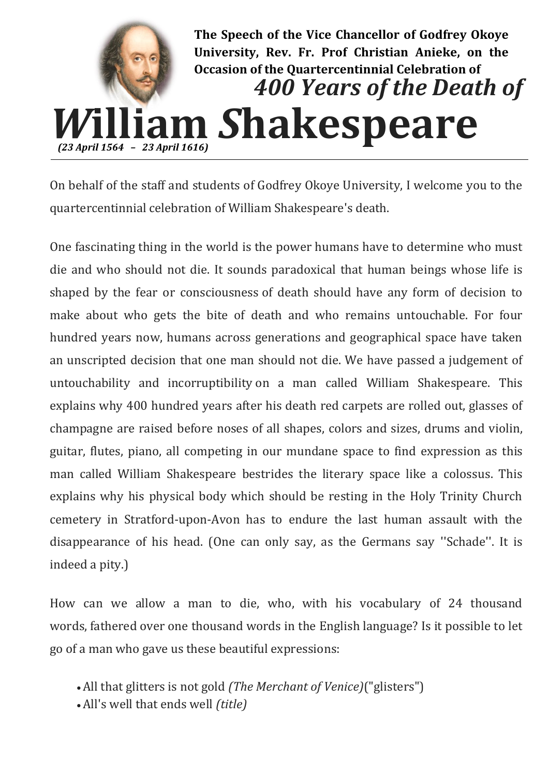

On behalf of the staff and students of Godfrey Okoye University, I welcome you to the quartercentinnial celebration of William Shakespeare's death.

One fascinating thing in the world is the power humans have to determine who must die and who should not die. It sounds paradoxical that human beings whose life is shaped by the fear or consciousness of death should have any form of decision to make about who gets the bite of death and who remains untouchable. For four hundred years now, humans across generations and geographical space have taken an unscripted decision that one man should not die. We have passed a judgement of untouchability and incorruptibility on a man called William Shakespeare. This explains why 400 hundred years after his death red carpets are rolled out, glasses of champagne are raised before noses of all shapes, colors and sizes, drums and violin, guitar, flutes, piano, all competing in our mundane space to find expression as this man called William Shakespeare bestrides the literary space like a colossus. This explains why his physical body which should be resting in the Holy Trinity Church cemetery in Stratford-upon-Avon has to endure the last human assault with the disappearance of his head. (One can only say, as the Germans say ''Schade''. It is indeed a pity.)

How can we allow a man to die, who, with his vocabulary of 24 thousand words, fathered over one thousand words in the English language? Is it possible to let go of a man who gave us these beautiful expressions:

- All that glitters is not gold *(The Merchant of Venice)*("glisters")
- All's well that ends well *(title)*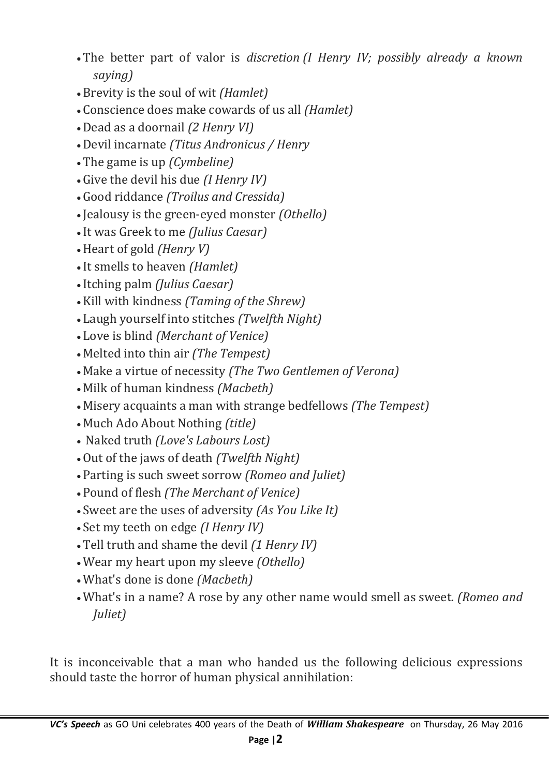- The better part of valor is *discretion (I Henry IV; possibly already a known saying)*
- Brevity is the soul of wit *(Hamlet)*
- Conscience does make cowards of us all *(Hamlet)*
- Dead as a doornail *(2 Henry VI)*
- Devil incarnate *(Titus Andronicus / Henry*
- The game is up *(Cymbeline)*
- Give the devil his due *(I Henry IV)*
- Good riddance *(Troilus and Cressida)*
- Jealousy is the green-eyed monster *(Othello)*
- It was Greek to me *(Julius Caesar)*
- Heart of gold *(Henry V)*
- It smells to heaven *(Hamlet)*
- Itching palm *(Julius Caesar)*
- Kill with kindness *(Taming of the Shrew)*
- Laugh yourself into stitches *(Twelfth Night)*
- Love is blind *(Merchant of Venice)*
- Melted into thin air *(The Tempest)*
- Make a virtue of necessity *(The Two Gentlemen of Verona)*
- Milk of human kindness *(Macbeth)*
- Misery acquaints a man with strange bedfellows *(The Tempest)*
- Much Ado About Nothing *(title)*
- Naked truth *(Love's Labours Lost)*
- Out of the jaws of death *(Twelfth Night)*
- Parting is such sweet sorrow *(Romeo and Juliet)*
- Pound of flesh *(The Merchant of Venice)*
- Sweet are the uses of adversity *(As You Like It)*
- Set my teeth on edge *(I Henry IV)*
- Tell truth and shame the devil *(1 Henry IV)*
- Wear my heart upon my sleeve *(Othello)*
- What's done is done *(Macbeth)*
- What's in a name? A rose by any other name would smell as sweet. *(Romeo and Juliet)*

It is inconceivable that a man who handed us the following delicious expressions should taste the horror of human physical annihilation: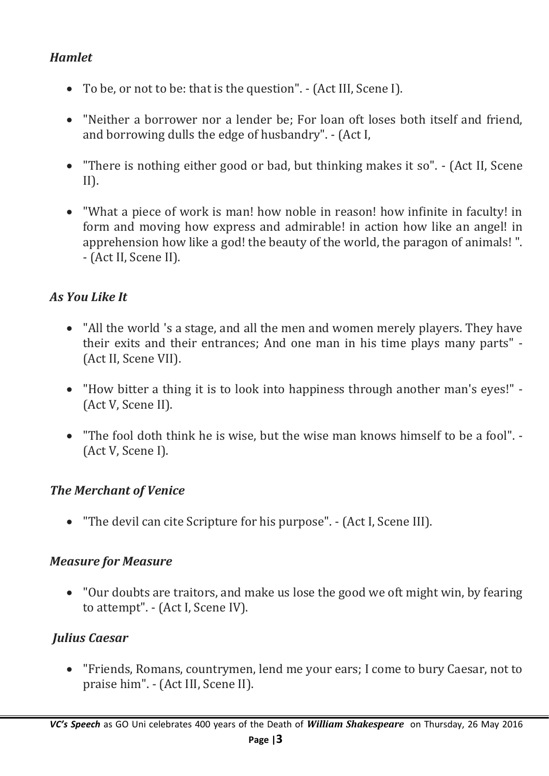## *Hamlet*

- To be, or not to be: that is the question". (Act III, Scene I).
- "Neither a borrower nor a lender be; For loan oft loses both itself and friend, and borrowing dulls the edge of husbandry". - (Act I,
- "There is nothing either good or bad, but thinking makes it so". (Act II, Scene  $II$ ).
- "What a piece of work is man! how noble in reason! how infinite in faculty! in form and moving how express and admirable! in action how like an angel! in apprehension how like a god! the beauty of the world, the paragon of animals! ". - (Act II, Scene II).

### *As You Like It*

- "All the world 's a stage, and all the men and women merely players. They have their exits and their entrances; And one man in his time plays many parts" - (Act II, Scene VII).
- "How bitter a thing it is to look into happiness through another man's eyes!" (Act V, Scene II).
- "The fool doth think he is wise, but the wise man knows himself to be a fool". (Act V, Scene I).

#### *The Merchant of Venice*

"The devil can cite Scripture for his purpose". - (Act I, Scene III).

#### *Measure for Measure*

 "Our doubts are traitors, and make us lose the good we oft might win, by fearing to attempt". - (Act I, Scene IV).

### *Julius Caesar*

 "Friends, Romans, countrymen, lend me your ears; I come to bury Caesar, not to praise him". - (Act III, Scene II).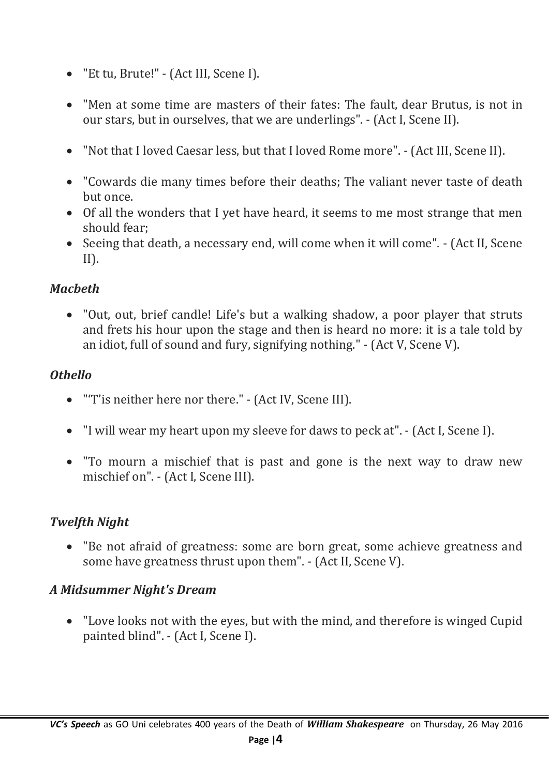- "Et tu, Brute!" (Act III, Scene I).
- "Men at some time are masters of their fates: The fault, dear Brutus, is not in our stars, but in ourselves, that we are underlings". - (Act I, Scene II).
- "Not that I loved Caesar less, but that I loved Rome more". (Act III, Scene II).
- "Cowards die many times before their deaths; The valiant never taste of death but once.
- Of all the wonders that I yet have heard, it seems to me most strange that men should fear;
- Seeing that death, a necessary end, will come when it will come". (Act II, Scene II).

## *Macbeth*

 "Out, out, brief candle! Life's but a walking shadow, a poor player that struts and frets his hour upon the stage and then is heard no more: it is a tale told by an idiot, full of sound and fury, signifying nothing." - (Act V, Scene V).

## *Othello*

- "'T'is neither here nor there." (Act IV, Scene III).
- "I will wear my heart upon my sleeve for daws to peck at". (Act I, Scene I).
- "To mourn a mischief that is past and gone is the next way to draw new mischief on". - (Act I, Scene III).

# *Twelfth Night*

 "Be not afraid of greatness: some are born great, some achieve greatness and some have greatness thrust upon them". - (Act II, Scene V).

### *A Midsummer Night's Dream*

 "Love looks not with the eyes, but with the mind, and therefore is winged Cupid painted blind". - (Act I, Scene I).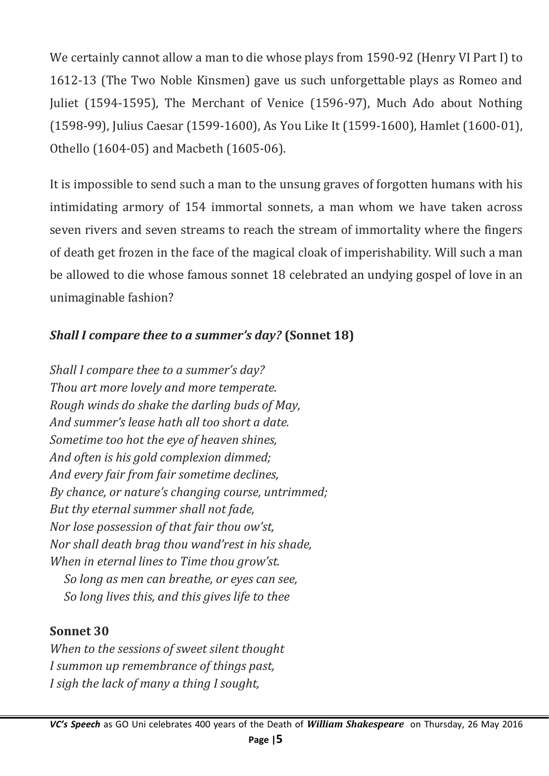We certainly cannot allow a man to die whose plays from 1590-92 (Henry VI Part I) to 1612-13 (The Two Noble Kinsmen) gave us such unforgettable plays as Romeo and Juliet (1594-1595), The Merchant of Venice (1596-97), Much Ado about Nothing (1598-99), Julius Caesar (1599-1600), As You Like It (1599-1600), Hamlet (1600-01), Othello (1604-05) and Macbeth (1605-06).

It is impossible to send such a man to the unsung graves of forgotten humans with his intimidating armory of 154 immortal sonnets, a man whom we have taken across seven rivers and seven streams to reach the stream of immortality where the fingers of death get frozen in the face of the magical cloak of imperishability. Will such a man be allowed to die whose famous sonnet 18 celebrated an undying gospel of love in an unimaginable fashion?

## *Shall I compare thee to a summer's day?* **(Sonnet 18)**

*Shall I compare thee to a summer's day? Thou art more lovely and more temperate. Rough winds do shake the darling buds of May, And summer's lease hath all too short a date. Sometime too hot the eye of heaven shines, And often is his gold complexion dimmed; And every fair from fair sometime declines, By chance, or nature's changing course, untrimmed; But thy eternal summer shall not fade, Nor lose possession of that fair thou ow'st, Nor shall death brag thou wand'rest in his shade, When in eternal lines to Time thou grow'st. So long as men can breathe, or eyes can see, So long lives this, and this gives life to thee*

### **Sonnet 30**

*When to the sessions of sweet silent thought I summon up remembrance of things past, I sigh the lack of many a thing I sought,*